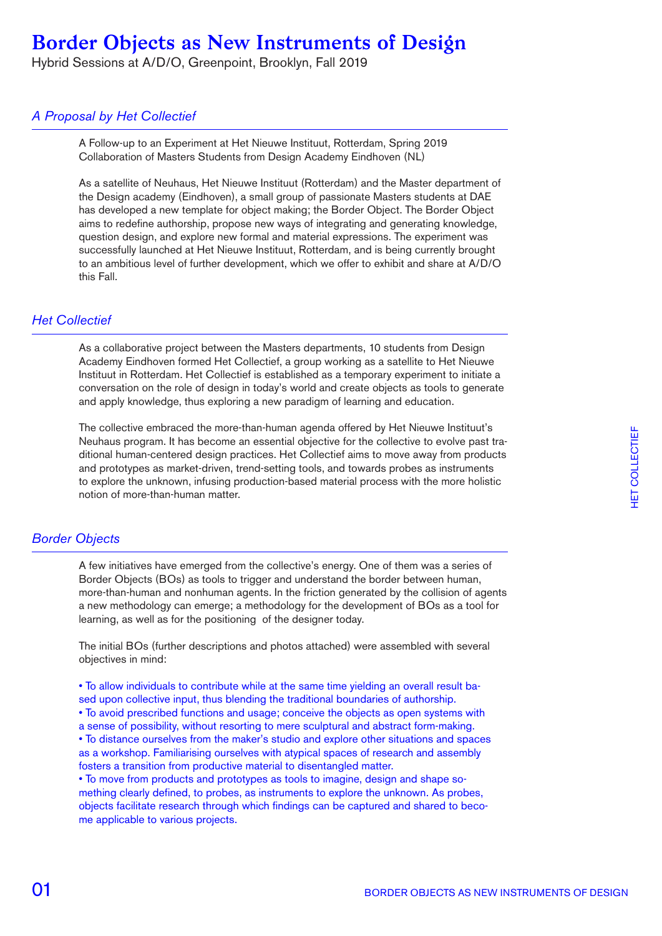Hybrid Sessions at A/D/O, Greenpoint, Brooklyn, Fall 2019

### *A Proposal by Het Collectief*

A Follow-up to an Experiment at Het Nieuwe Instituut, Rotterdam, Spring 2019 Collaboration of Masters Students from Design Academy Eindhoven (NL)

As a satellite of Neuhaus, Het Nieuwe Instituut (Rotterdam) and the Master department of the Design academy (Eindhoven), a small group of passionate Masters students at DAE has developed a new template for object making; the Border Object. The Border Object aims to redefine authorship, propose new ways of integrating and generating knowledge, question design, and explore new formal and material expressions. The experiment was successfully launched at Het Nieuwe Instituut, Rotterdam, and is being currently brought to an ambitious level of further development, which we offer to exhibit and share at A/D/O this Fall.

#### *Het Collectief*

As a collaborative project between the Masters departments, 10 students from Design Academy Eindhoven formed Het Collectief, a group working as a satellite to Het Nieuwe Instituut in Rotterdam. Het Collectief is established as a temporary experiment to initiate a conversation on the role of design in today's world and create objects as tools to generate and apply knowledge, thus exploring a new paradigm of learning and education.

The collective embraced the more-than-human agenda offered by Het Nieuwe Instituut's Neuhaus program. It has become an essential objective for the collective to evolve past traditional human-centered design practices. Het Collectief aims to move away from products and prototypes as market-driven, trend-setting tools, and towards probes as instruments to explore the unknown, infusing production-based material process with the more holistic notion of more-than-human matter.

#### *Border Objects*

A few initiatives have emerged from the collective's energy. One of them was a series of Border Objects (BOs) as tools to trigger and understand the border between human, more-than-human and nonhuman agents. In the friction generated by the collision of agents a new methodology can emerge; a methodology for the development of BOs as a tool for learning, as well as for the positioning of the designer today.

The initial BOs (further descriptions and photos attached) were assembled with several objectives in mind:

• To allow individuals to contribute while at the same time yielding an overall result based upon collective input, thus blending the traditional boundaries of authorship. • To avoid prescribed functions and usage; conceive the objects as open systems with a sense of possibility, without resorting to mere sculptural and abstract form-making. • To distance ourselves from the maker's studio and explore other situations and spaces as a workshop. Familiarising ourselves with atypical spaces of research and assembly fosters a transition from productive material to disentangled matter. • To move from products and prototypes as tools to imagine, design and shape so-

mething clearly defined, to probes, as instruments to explore the unknown. As probes, objects facilitate research through which findings can be captured and shared to become applicable to various projects.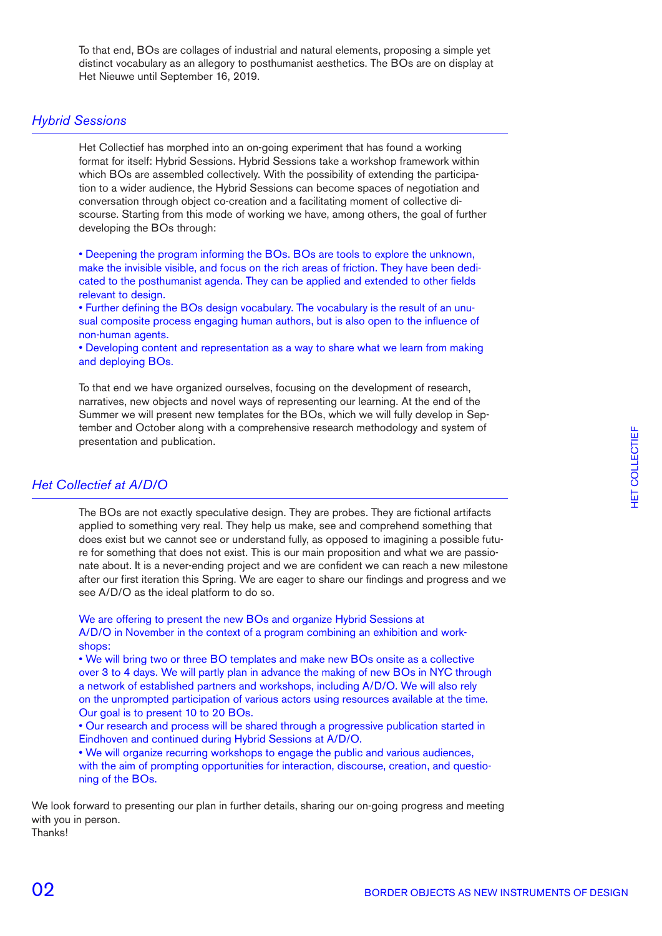To that end, BOs are collages of industrial and natural elements, proposing a simple yet distinct vocabulary as an allegory to posthumanist aesthetics. The BOs are on display at Het Nieuwe until September 16, 2019.

#### *Hybrid Sessions*

Het Collectief has morphed into an on-going experiment that has found a working format for itself: Hybrid Sessions. Hybrid Sessions take a workshop framework within which BOs are assembled collectively. With the possibility of extending the participation to a wider audience, the Hybrid Sessions can become spaces of negotiation and conversation through object co-creation and a facilitating moment of collective discourse. Starting from this mode of working we have, among others, the goal of further developing the BOs through:

• Deepening the program informing the BOs. BOs are tools to explore the unknown, make the invisible visible, and focus on the rich areas of friction. They have been dedicated to the posthumanist agenda. They can be applied and extended to other fields relevant to design.

• Further defining the BOs design vocabulary. The vocabulary is the result of an unusual composite process engaging human authors, but is also open to the influence of non-human agents.

• Developing content and representation as a way to share what we learn from making and deploying BOs.

To that end we have organized ourselves, focusing on the development of research, narratives, new objects and novel ways of representing our learning. At the end of the Summer we will present new templates for the BOs, which we will fully develop in September and October along with a comprehensive research methodology and system of presentation and publication.

#### *Het Collectief at A/D/O*

The BOs are not exactly speculative design. They are probes. They are fictional artifacts applied to something very real. They help us make, see and comprehend something that does exist but we cannot see or understand fully, as opposed to imagining a possible future for something that does not exist. This is our main proposition and what we are passionate about. It is a never-ending project and we are confident we can reach a new milestone after our first iteration this Spring. We are eager to share our findings and progress and we see A/D/O as the ideal platform to do so.

We are offering to present the new BOs and organize Hybrid Sessions at A/D/O in November in the context of a program combining an exhibition and workshops:

• We will bring two or three BO templates and make new BOs onsite as a collective over 3 to 4 days. We will partly plan in advance the making of new BOs in NYC through a network of established partners and workshops, including A/D/O. We will also rely on the unprompted participation of various actors using resources available at the time. Our goal is to present 10 to 20 BOs.

• Our research and process will be shared through a progressive publication started in Eindhoven and continued during Hybrid Sessions at A/D/O.

• We will organize recurring workshops to engage the public and various audiences, with the aim of prompting opportunities for interaction, discourse, creation, and questioning of the BOs.

We look forward to presenting our plan in further details, sharing our on-going progress and meeting with you in person. Thanks!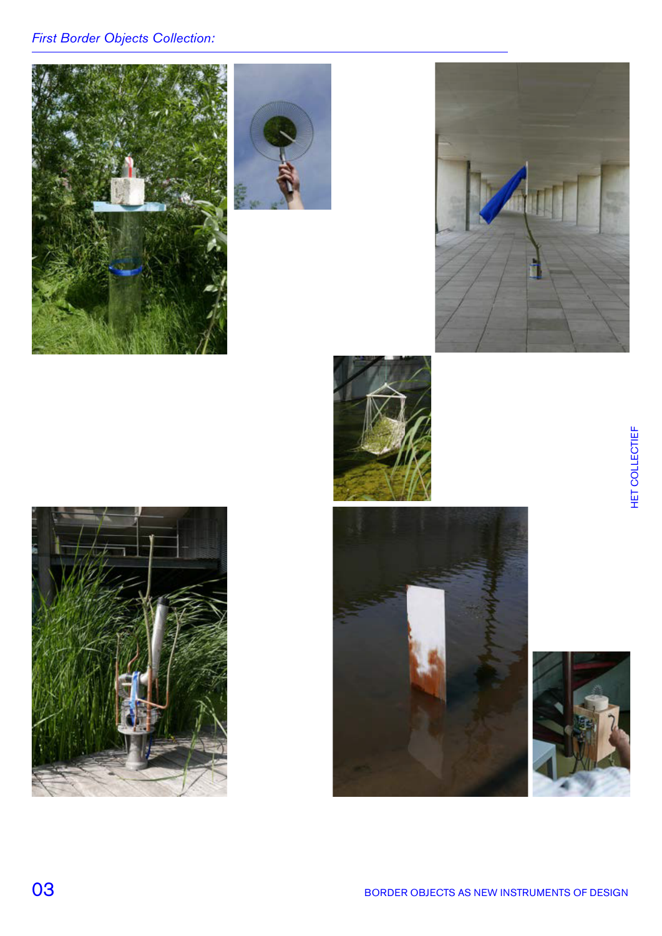# *First Border Objects Collection:*